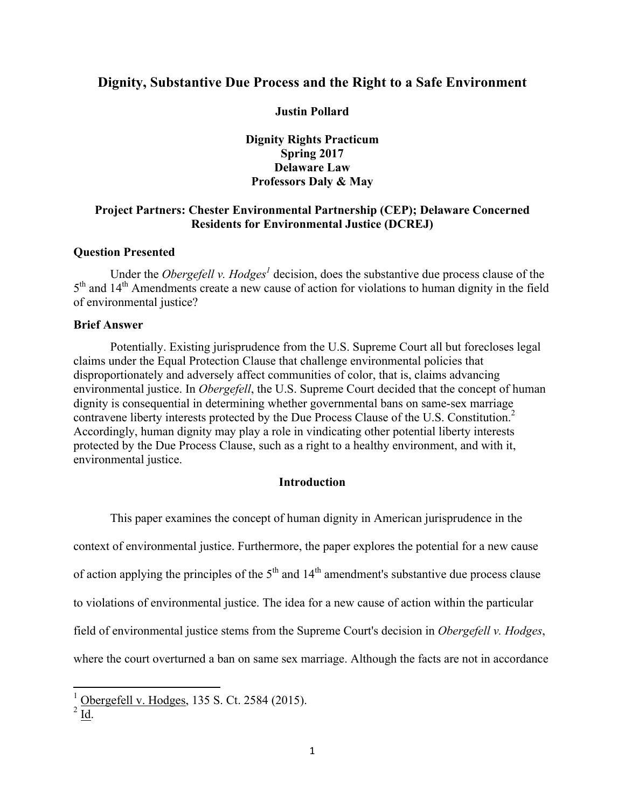# **Dignity, Substantive Due Process and the Right to a Safe Environment**

**Justin Pollard**

### **Dignity Rights Practicum Spring 2017 Delaware Law Professors Daly & May**

# **Project Partners: Chester Environmental Partnership (CEP); Delaware Concerned Residents for Environmental Justice (DCREJ)**

### **Question Presented**

Under the *Obergefell v. Hodges<sup>1</sup>* decision, does the substantive due process clause of the 5<sup>th</sup> and 14<sup>th</sup> Amendments create a new cause of action for violations to human dignity in the field of environmental justice?

#### **Brief Answer**

Potentially. Existing jurisprudence from the U.S. Supreme Court all but forecloses legal claims under the Equal Protection Clause that challenge environmental policies that disproportionately and adversely affect communities of color, that is, claims advancing environmental justice. In *Obergefell*, the U.S. Supreme Court decided that the concept of human dignity is consequential in determining whether governmental bans on same-sex marriage contravene liberty interests protected by the Due Process Clause of the U.S. Constitution.<sup>2</sup> Accordingly, human dignity may play a role in vindicating other potential liberty interests protected by the Due Process Clause, such as a right to a healthy environment, and with it, environmental justice.

#### **Introduction**

This paper examines the concept of human dignity in American jurisprudence in the context of environmental justice. Furthermore, the paper explores the potential for a new cause of action applying the principles of the  $5<sup>th</sup>$  and  $14<sup>th</sup>$  amendment's substantive due process clause to violations of environmental justice. The idea for a new cause of action within the particular field of environmental justice stems from the Supreme Court's decision in *Obergefell v. Hodges*, where the court overturned a ban on same sex marriage. Although the facts are not in accordance

 $\frac{1}{2}$  Obergefell v. Hodges, 135 S. Ct. 2584 (2015).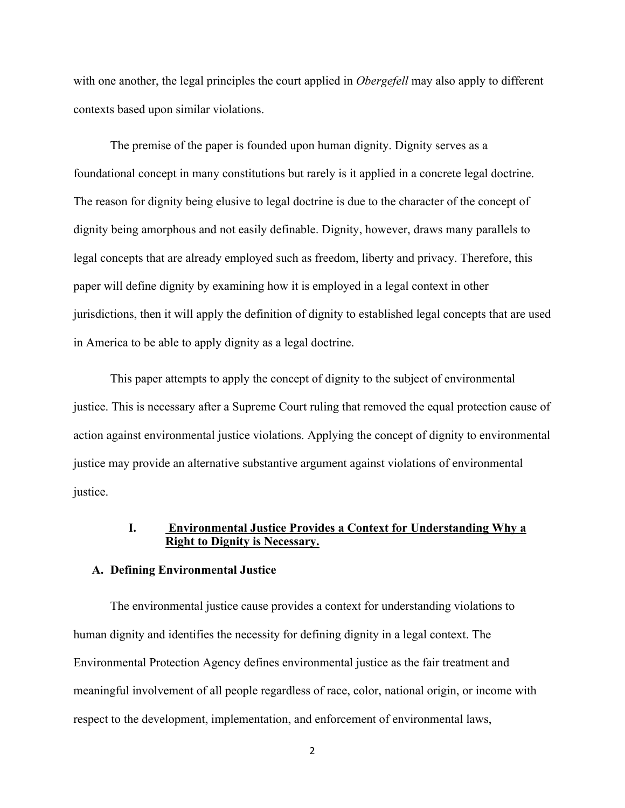with one another, the legal principles the court applied in *Obergefell* may also apply to different contexts based upon similar violations.

The premise of the paper is founded upon human dignity. Dignity serves as a foundational concept in many constitutions but rarely is it applied in a concrete legal doctrine. The reason for dignity being elusive to legal doctrine is due to the character of the concept of dignity being amorphous and not easily definable. Dignity, however, draws many parallels to legal concepts that are already employed such as freedom, liberty and privacy. Therefore, this paper will define dignity by examining how it is employed in a legal context in other jurisdictions, then it will apply the definition of dignity to established legal concepts that are used in America to be able to apply dignity as a legal doctrine.

This paper attempts to apply the concept of dignity to the subject of environmental justice. This is necessary after a Supreme Court ruling that removed the equal protection cause of action against environmental justice violations. Applying the concept of dignity to environmental justice may provide an alternative substantive argument against violations of environmental justice.

# **I. Environmental Justice Provides a Context for Understanding Why a Right to Dignity is Necessary.**

#### **A. Defining Environmental Justice**

The environmental justice cause provides a context for understanding violations to human dignity and identifies the necessity for defining dignity in a legal context. The Environmental Protection Agency defines environmental justice as the fair treatment and meaningful involvement of all people regardless of race, color, national origin, or income with respect to the development, implementation, and enforcement of environmental laws,

<sup>2</sup>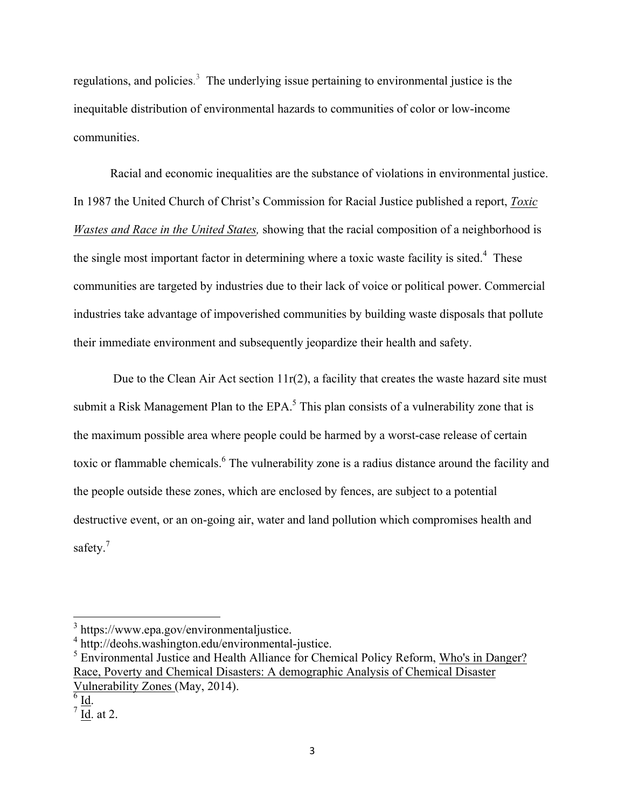regulations, and policies.<sup>3</sup> The underlying issue pertaining to environmental justice is the inequitable distribution of environmental hazards to communities of color or low-income communities.

Racial and economic inequalities are the substance of violations in environmental justice. In 1987 the United Church of Christ's Commission for Racial Justice published a report, *Toxic Wastes and Race in the United States,* showing that the racial composition of a neighborhood is the single most important factor in determining where a toxic waste facility is sited.<sup>4</sup> These communities are targeted by industries due to their lack of voice or political power. Commercial industries take advantage of impoverished communities by building waste disposals that pollute their immediate environment and subsequently jeopardize their health and safety.

Due to the Clean Air Act section  $11r(2)$ , a facility that creates the waste hazard site must submit a Risk Management Plan to the  $EPA$ .<sup>5</sup> This plan consists of a vulnerability zone that is the maximum possible area where people could be harmed by a worst-case release of certain toxic or flammable chemicals. <sup>6</sup> The vulnerability zone is a radius distance around the facility and the people outside these zones, which are enclosed by fences, are subject to a potential destructive event, or an on-going air, water and land pollution which compromises health and safety.<sup>7</sup>

 $\frac{3}{4}$  https://www.epa.gov/environmentaljustice.<br> $\frac{4}{1}$  http://deohs.washington.edu/environmental-justice.<br> $\frac{5}{1}$  Environmental Justice and Health Alliance for Chemical Policy Reform, Who's in Danger? Race, Poverty and Chemical Disasters: A demographic Analysis of Chemical Disaster Vulnerability Zones (May, 2014).<br> $\frac{6}{\pi}$  Id.  $\frac{7}{\pi}$  Id. at 2.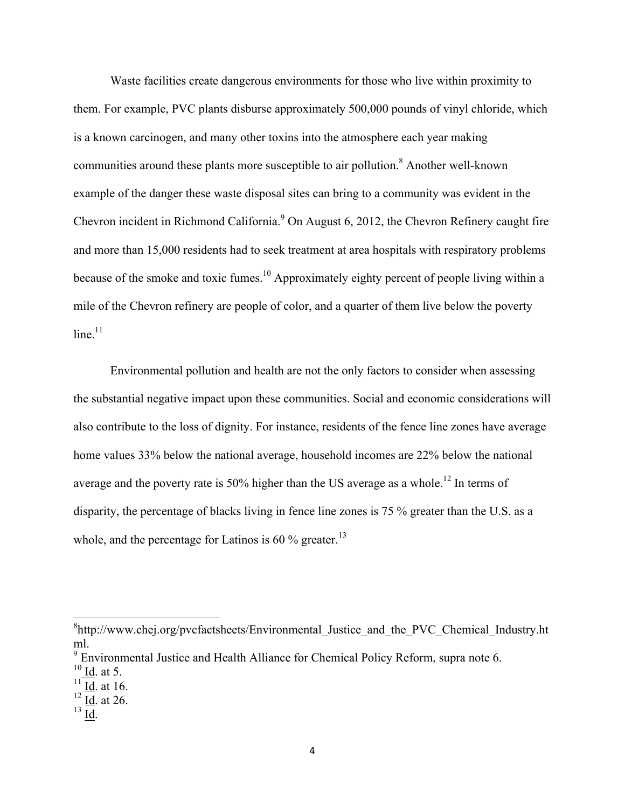Waste facilities create dangerous environments for those who live within proximity to them. For example, PVC plants disburse approximately 500,000 pounds of vinyl chloride, which is a known carcinogen, and many other toxins into the atmosphere each year making communities around these plants more susceptible to air pollution.<sup>8</sup> Another well-known example of the danger these waste disposal sites can bring to a community was evident in the Chevron incident in Richmond California.<sup>9</sup> On August 6, 2012, the Chevron Refinery caught fire and more than 15,000 residents had to seek treatment at area hospitals with respiratory problems because of the smoke and toxic fumes.<sup>10</sup> Approximately eighty percent of people living within a mile of the Chevron refinery are people of color, and a quarter of them live below the poverty  $line<sup>11</sup>$ 

Environmental pollution and health are not the only factors to consider when assessing the substantial negative impact upon these communities. Social and economic considerations will also contribute to the loss of dignity. For instance, residents of the fence line zones have average home values 33% below the national average, household incomes are 22% below the national average and the poverty rate is  $50\%$  higher than the US average as a whole.<sup>12</sup> In terms of disparity, the percentage of blacks living in fence line zones is 75 % greater than the U.S. as a whole, and the percentage for Latinos is 60  $\%$  greater.<sup>13</sup>

<sup>&</sup>lt;sup>8</sup>http://www.chej.org/pvcfactsheets/Environmental Justice and the PVC Chemical Industry.ht ml.<br><sup>9</sup> Environmental Justice and Health Alliance for Chemical Policy Reform, supra note 6.<br><sup>10</sup> Id at 5.

 $\frac{11}{12}$  <u>Id</u>. at 16.<br> $\frac{12}{13}$  Id. at 26.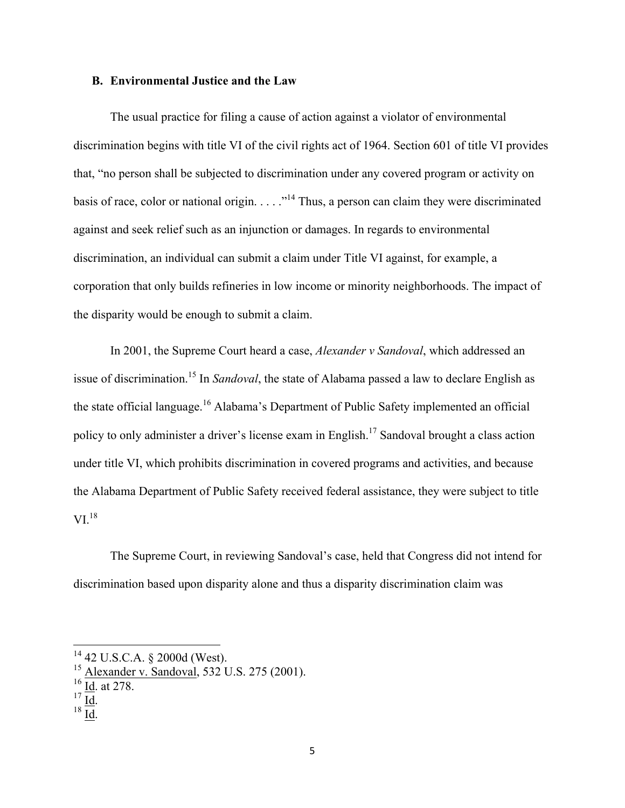#### **B. Environmental Justice and the Law**

The usual practice for filing a cause of action against a violator of environmental discrimination begins with title VI of the civil rights act of 1964. Section 601 of title VI provides that, "no person shall be subjected to discrimination under any covered program or activity on basis of race, color or national origin.  $\dots$  ."<sup>14</sup> Thus, a person can claim they were discriminated against and seek relief such as an injunction or damages. In regards to environmental discrimination, an individual can submit a claim under Title VI against, for example, a corporation that only builds refineries in low income or minority neighborhoods. The impact of the disparity would be enough to submit a claim.

In 2001, the Supreme Court heard a case, *Alexander v Sandoval*, which addressed an issue of discrimination.15 In *Sandoval*, the state of Alabama passed a law to declare English as the state official language.<sup>16</sup> Alabama's Department of Public Safety implemented an official policy to only administer a driver's license exam in English.17 Sandoval brought a class action under title VI, which prohibits discrimination in covered programs and activities, and because the Alabama Department of Public Safety received federal assistance, they were subject to title  $VI^{18}$ 

The Supreme Court, in reviewing Sandoval's case, held that Congress did not intend for discrimination based upon disparity alone and thus a disparity discrimination claim was

- 
- 
- 

<sup>&</sup>lt;sup>14</sup> 42 U.S.C.A. § 2000d (West).<br><sup>15</sup> Alexander v. Sandoval, 532 U.S. 275 (2001).<br><sup>16</sup> Id. at 278.<br><sup>17</sup> Id. <sup>18</sup> Id.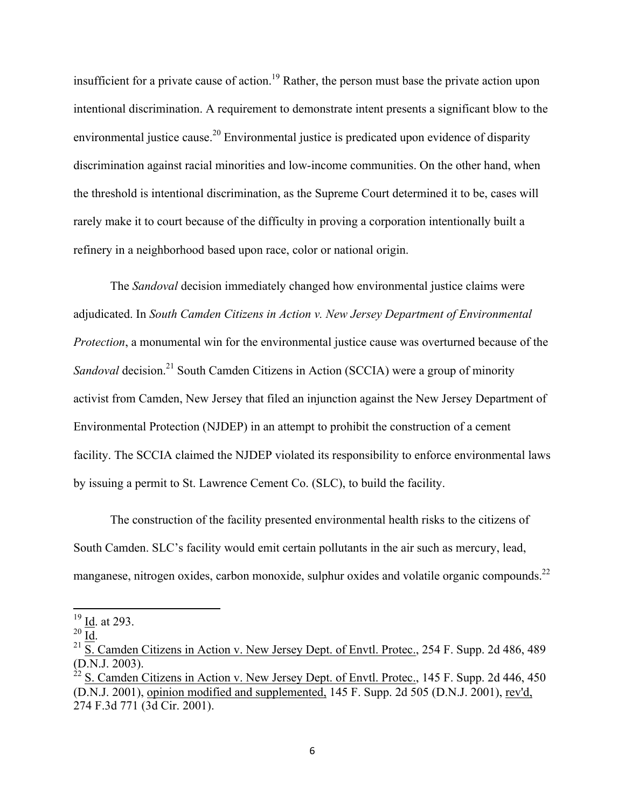insufficient for a private cause of action.<sup>19</sup> Rather, the person must base the private action upon intentional discrimination. A requirement to demonstrate intent presents a significant blow to the environmental justice cause.<sup>20</sup> Environmental justice is predicated upon evidence of disparity discrimination against racial minorities and low-income communities. On the other hand, when the threshold is intentional discrimination, as the Supreme Court determined it to be, cases will rarely make it to court because of the difficulty in proving a corporation intentionally built a refinery in a neighborhood based upon race, color or national origin.

The *Sandoval* decision immediately changed how environmental justice claims were adjudicated. In *South Camden Citizens in Action v. New Jersey Department of Environmental Protection*, a monumental win for the environmental justice cause was overturned because of the *Sandoval* decision.<sup>21</sup> South Camden Citizens in Action (SCCIA) were a group of minority activist from Camden, New Jersey that filed an injunction against the New Jersey Department of Environmental Protection (NJDEP) in an attempt to prohibit the construction of a cement facility. The SCCIA claimed the NJDEP violated its responsibility to enforce environmental laws by issuing a permit to St. Lawrence Cement Co. (SLC), to build the facility.

The construction of the facility presented environmental health risks to the citizens of South Camden. SLC's facility would emit certain pollutants in the air such as mercury, lead, manganese, nitrogen oxides, carbon monoxide, sulphur oxides and volatile organic compounds.<sup>22</sup>

<sup>&</sup>lt;sup>19</sup> Id. at 293.<br><sup>20</sup> Id.<br><sup>21</sup> S. Camden Citizens in Action v. New Jersey Dept. of Envtl. Protec., 254 F. Supp. 2d 486, 489 (D.N.J. 2003).<br><sup>22</sup> S. Camden Citizens in Action v. New Jersey Dept. of Envtl. Protec., 145 F. Supp. 2d 446, 450

<sup>(</sup>D.N.J. 2001), opinion modified and supplemented, 145 F. Supp. 2d 505 (D.N.J. 2001), rev'd, 274 F.3d 771 (3d Cir. 2001).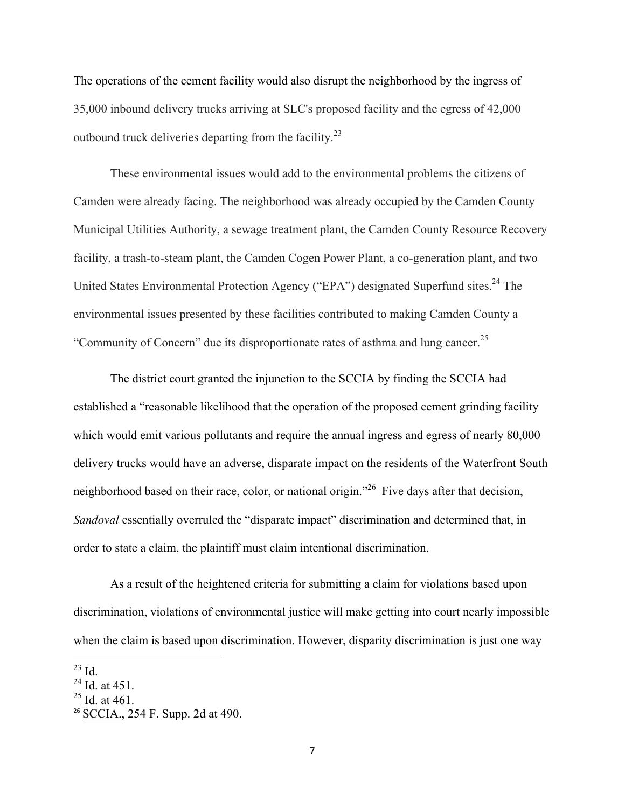The operations of the cement facility would also disrupt the neighborhood by the ingress of 35,000 inbound delivery trucks arriving at SLC's proposed facility and the egress of 42,000 outbound truck deliveries departing from the facility.23

These environmental issues would add to the environmental problems the citizens of Camden were already facing. The neighborhood was already occupied by the Camden County Municipal Utilities Authority, a sewage treatment plant, the Camden County Resource Recovery facility, a trash-to-steam plant, the Camden Cogen Power Plant, a co-generation plant, and two United States Environmental Protection Agency ("EPA") designated Superfund sites.<sup>24</sup> The environmental issues presented by these facilities contributed to making Camden County a "Community of Concern" due its disproportionate rates of asthma and lung cancer.<sup>25</sup>

The district court granted the injunction to the SCCIA by finding the SCCIA had established a "reasonable likelihood that the operation of the proposed cement grinding facility which would emit various pollutants and require the annual ingress and egress of nearly 80,000 delivery trucks would have an adverse, disparate impact on the residents of the Waterfront South neighborhood based on their race, color, or national origin."<sup>26</sup> Five days after that decision, *Sandoval* essentially overruled the "disparate impact" discrimination and determined that, in order to state a claim, the plaintiff must claim intentional discrimination.

As a result of the heightened criteria for submitting a claim for violations based upon discrimination, violations of environmental justice will make getting into court nearly impossible when the claim is based upon discrimination. However, disparity discrimination is just one way

 $\frac{^{23}}{^{24}}\frac{\text{Id}}{\text{Id}}$ . at 451.<br>
<sup>25</sup> Id. at 461.

<sup>&</sup>lt;sup>26</sup> SCCIA., 254 F. Supp. 2d at 490.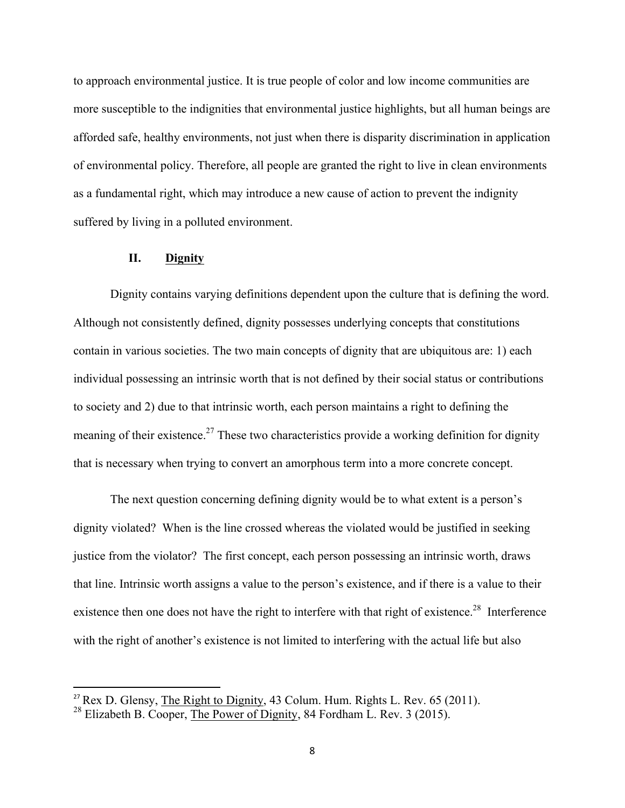to approach environmental justice. It is true people of color and low income communities are more susceptible to the indignities that environmental justice highlights, but all human beings are afforded safe, healthy environments, not just when there is disparity discrimination in application of environmental policy. Therefore, all people are granted the right to live in clean environments as a fundamental right, which may introduce a new cause of action to prevent the indignity suffered by living in a polluted environment.

### **II. Dignity**

Dignity contains varying definitions dependent upon the culture that is defining the word. Although not consistently defined, dignity possesses underlying concepts that constitutions contain in various societies. The two main concepts of dignity that are ubiquitous are: 1) each individual possessing an intrinsic worth that is not defined by their social status or contributions to society and 2) due to that intrinsic worth, each person maintains a right to defining the meaning of their existence.<sup>27</sup> These two characteristics provide a working definition for dignity that is necessary when trying to convert an amorphous term into a more concrete concept.

The next question concerning defining dignity would be to what extent is a person's dignity violated? When is the line crossed whereas the violated would be justified in seeking justice from the violator? The first concept, each person possessing an intrinsic worth, draws that line. Intrinsic worth assigns a value to the person's existence, and if there is a value to their existence then one does not have the right to interfere with that right of existence.<sup>28</sup> Interference with the right of another's existence is not limited to interfering with the actual life but also

<sup>&</sup>lt;sup>27</sup> Rex D. Glensy, The Right to Dignity, 43 Colum. Hum. Rights L. Rev. 65 (2011).

<sup>&</sup>lt;sup>28</sup> Elizabeth B. Cooper, The Power of Dignity, 84 Fordham L. Rev. 3 (2015).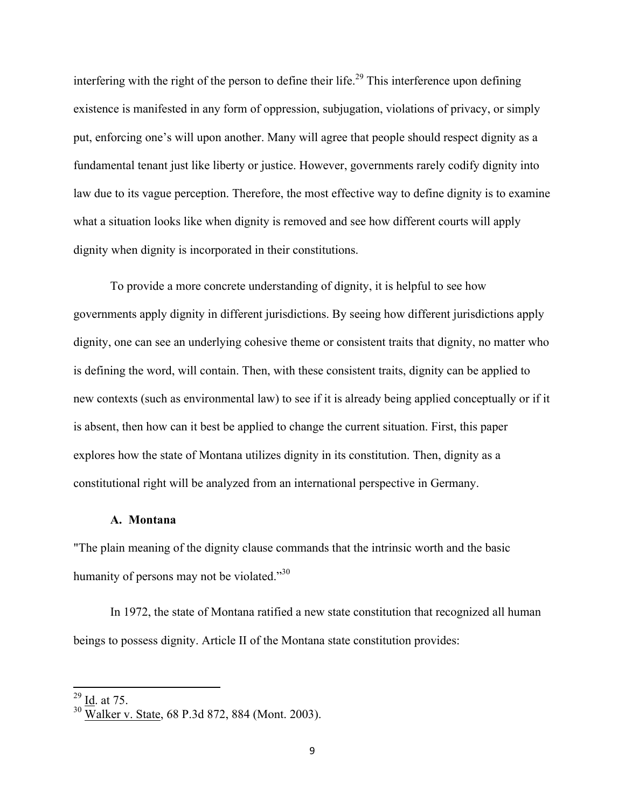interfering with the right of the person to define their life.<sup>29</sup> This interference upon defining existence is manifested in any form of oppression, subjugation, violations of privacy, or simply put, enforcing one's will upon another. Many will agree that people should respect dignity as a fundamental tenant just like liberty or justice. However, governments rarely codify dignity into law due to its vague perception. Therefore, the most effective way to define dignity is to examine what a situation looks like when dignity is removed and see how different courts will apply dignity when dignity is incorporated in their constitutions.

To provide a more concrete understanding of dignity, it is helpful to see how governments apply dignity in different jurisdictions. By seeing how different jurisdictions apply dignity, one can see an underlying cohesive theme or consistent traits that dignity, no matter who is defining the word, will contain. Then, with these consistent traits, dignity can be applied to new contexts (such as environmental law) to see if it is already being applied conceptually or if it is absent, then how can it best be applied to change the current situation. First, this paper explores how the state of Montana utilizes dignity in its constitution. Then, dignity as a constitutional right will be analyzed from an international perspective in Germany.

#### **A. Montana**

"The plain meaning of the dignity clause commands that the intrinsic worth and the basic humanity of persons may not be violated."<sup>30</sup>

In 1972, the state of Montana ratified a new state constitution that recognized all human beings to possess dignity. Article II of the Montana state constitution provides:

 $\frac{^{29}}{^{30}}$  <u>Id</u>. at 75.<br><sup>30</sup> Walker v. State, 68 P.3d 872, 884 (Mont. 2003).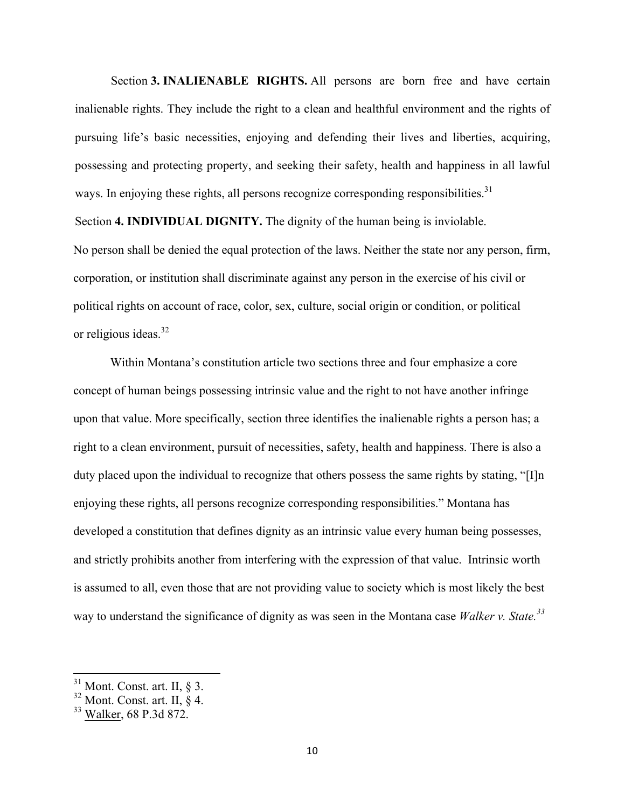Section **3. INALIENABLE RIGHTS.** All persons are born free and have certain inalienable rights. They include the right to a clean and healthful environment and the rights of pursuing life's basic necessities, enjoying and defending their lives and liberties, acquiring, possessing and protecting property, and seeking their safety, health and happiness in all lawful ways. In enjoying these rights, all persons recognize corresponding responsibilities.<sup>31</sup>

Section **4. INDIVIDUAL DIGNITY.** The dignity of the human being is inviolable.

No person shall be denied the equal protection of the laws. Neither the state nor any person, firm, corporation, or institution shall discriminate against any person in the exercise of his civil or political rights on account of race, color, sex, culture, social origin or condition, or political or religious ideas.<sup>32</sup>

Within Montana's constitution article two sections three and four emphasize a core concept of human beings possessing intrinsic value and the right to not have another infringe upon that value. More specifically, section three identifies the inalienable rights a person has; a right to a clean environment, pursuit of necessities, safety, health and happiness. There is also a duty placed upon the individual to recognize that others possess the same rights by stating, "[I]n enjoying these rights, all persons recognize corresponding responsibilities." Montana has developed a constitution that defines dignity as an intrinsic value every human being possesses, and strictly prohibits another from interfering with the expression of that value. Intrinsic worth is assumed to all, even those that are not providing value to society which is most likely the best way to understand the significance of dignity as was seen in the Montana case *Walker v. State. 33*

<sup>&</sup>lt;sup>31</sup> Mont. Const. art. II, § 3.<br><sup>32</sup> Mont. Const. art. II, § 4.<br><sup>33</sup> Walker, 68 P.3d 872.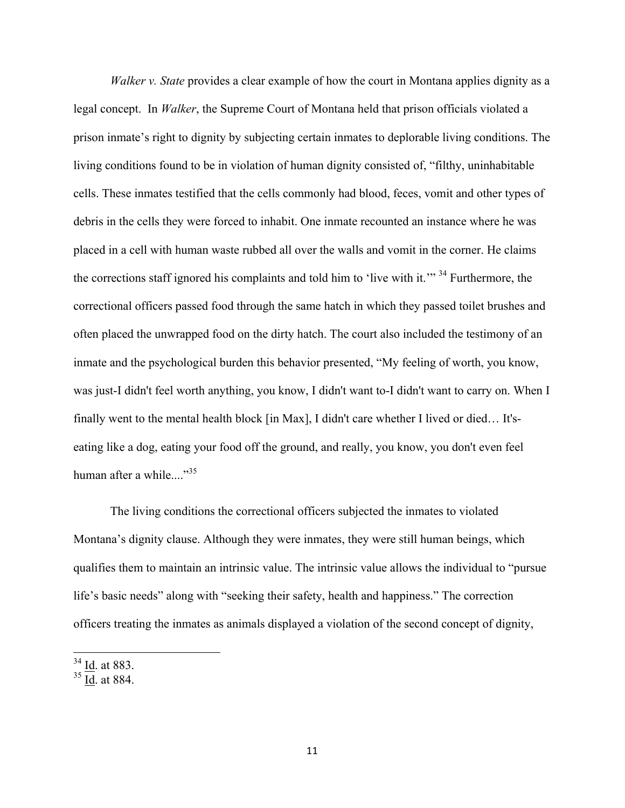*Walker v. State* provides a clear example of how the court in Montana applies dignity as a legal concept. In *Walker*, the Supreme Court of Montana held that prison officials violated a prison inmate's right to dignity by subjecting certain inmates to deplorable living conditions. The living conditions found to be in violation of human dignity consisted of, "filthy, uninhabitable cells. These inmates testified that the cells commonly had blood, feces, vomit and other types of debris in the cells they were forced to inhabit. One inmate recounted an instance where he was placed in a cell with human waste rubbed all over the walls and vomit in the corner. He claims the corrections staff ignored his complaints and told him to 'live with it.'" 34 Furthermore, the correctional officers passed food through the same hatch in which they passed toilet brushes and often placed the unwrapped food on the dirty hatch. The court also included the testimony of an inmate and the psychological burden this behavior presented, "My feeling of worth, you know, was just-I didn't feel worth anything, you know, I didn't want to-I didn't want to carry on. When I finally went to the mental health block [in Max], I didn't care whether I lived or died… It'seating like a dog, eating your food off the ground, and really, you know, you don't even feel human after a while... $^{35}$ 

The living conditions the correctional officers subjected the inmates to violated Montana's dignity clause. Although they were inmates, they were still human beings, which qualifies them to maintain an intrinsic value. The intrinsic value allows the individual to "pursue life's basic needs" along with "seeking their safety, health and happiness." The correction officers treating the inmates as animals displayed a violation of the second concept of dignity,

 $34$  <u>Id</u>. at 883.

 $35$  Id. at 884.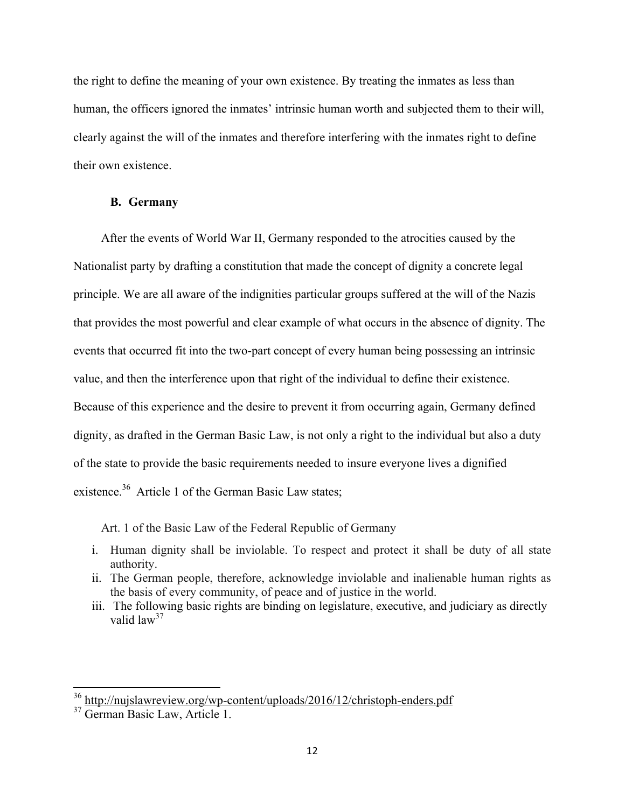the right to define the meaning of your own existence. By treating the inmates as less than human, the officers ignored the inmates' intrinsic human worth and subjected them to their will, clearly against the will of the inmates and therefore interfering with the inmates right to define their own existence.

### **B. Germany**

After the events of World War II, Germany responded to the atrocities caused by the Nationalist party by drafting a constitution that made the concept of dignity a concrete legal principle. We are all aware of the indignities particular groups suffered at the will of the Nazis that provides the most powerful and clear example of what occurs in the absence of dignity. The events that occurred fit into the two-part concept of every human being possessing an intrinsic value, and then the interference upon that right of the individual to define their existence. Because of this experience and the desire to prevent it from occurring again, Germany defined dignity, as drafted in the German Basic Law, is not only a right to the individual but also a duty of the state to provide the basic requirements needed to insure everyone lives a dignified existence.<sup>36</sup> Article 1 of the German Basic Law states;

Art. 1 of the Basic Law of the Federal Republic of Germany

- i. Human dignity shall be inviolable. To respect and protect it shall be duty of all state authority.
- ii. The German people, therefore, acknowledge inviolable and inalienable human rights as the basis of every community, of peace and of justice in the world.
- iii. The following basic rights are binding on legislature, executive, and judiciary as directly valid law<sup>37</sup>

 <sup>36</sup> http://nujslawreview.org/wp-content/uploads/2016/12/christoph-enders.pdf

<sup>&</sup>lt;sup>37</sup> German Basic Law, Article 1.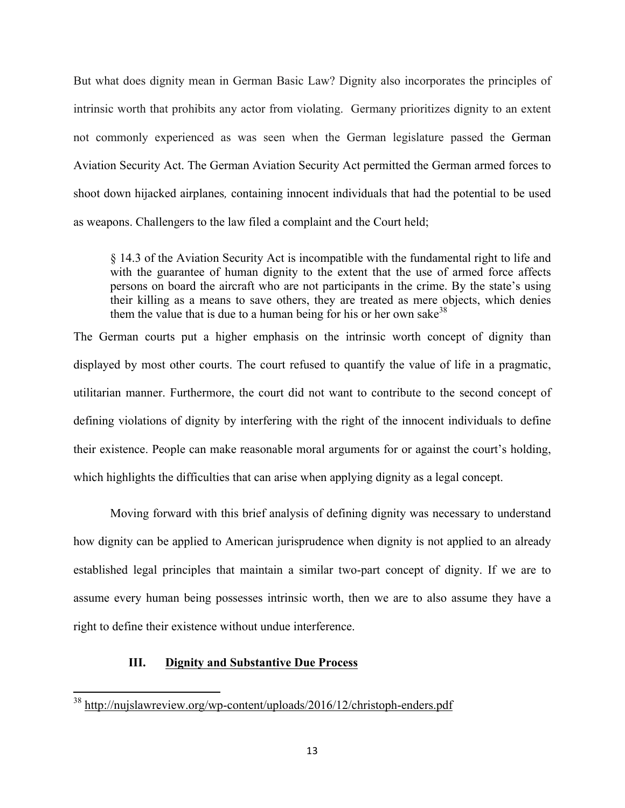But what does dignity mean in German Basic Law? Dignity also incorporates the principles of intrinsic worth that prohibits any actor from violating. Germany prioritizes dignity to an extent not commonly experienced as was seen when the German legislature passed the German Aviation Security Act. The German Aviation Security Act permitted the German armed forces to shoot down hijacked airplanes*,* containing innocent individuals that had the potential to be used as weapons. Challengers to the law filed a complaint and the Court held;

§ 14.3 of the Aviation Security Act is incompatible with the fundamental right to life and with the guarantee of human dignity to the extent that the use of armed force affects persons on board the aircraft who are not participants in the crime. By the state's using their killing as a means to save others, they are treated as mere objects, which denies them the value that is due to a human being for his or her own sake<sup>38</sup>

The German courts put a higher emphasis on the intrinsic worth concept of dignity than displayed by most other courts. The court refused to quantify the value of life in a pragmatic, utilitarian manner. Furthermore, the court did not want to contribute to the second concept of defining violations of dignity by interfering with the right of the innocent individuals to define their existence. People can make reasonable moral arguments for or against the court's holding, which highlights the difficulties that can arise when applying dignity as a legal concept.

Moving forward with this brief analysis of defining dignity was necessary to understand how dignity can be applied to American jurisprudence when dignity is not applied to an already established legal principles that maintain a similar two-part concept of dignity. If we are to assume every human being possesses intrinsic worth, then we are to also assume they have a right to define their existence without undue interference.

# **III. Dignity and Substantive Due Process**

 <sup>38</sup> http://nujslawreview.org/wp-content/uploads/2016/12/christoph-enders.pdf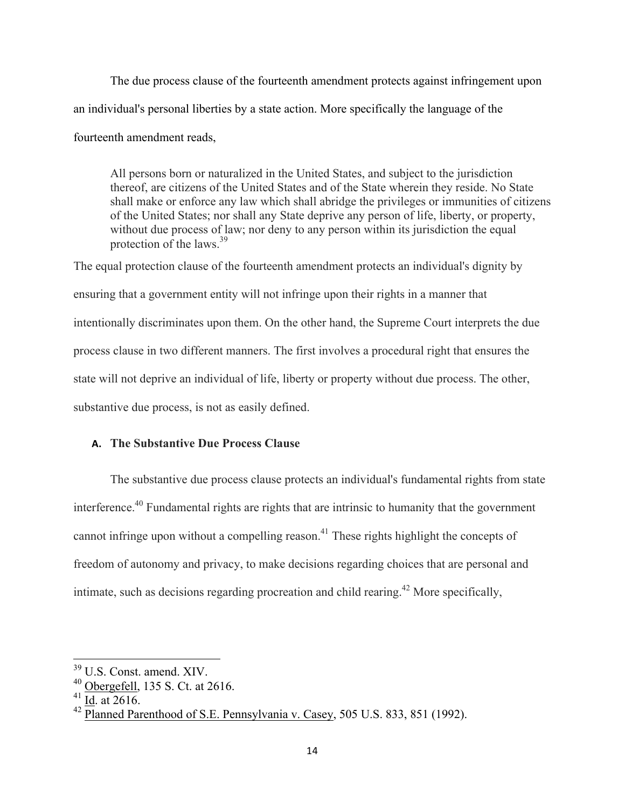The due process clause of the fourteenth amendment protects against infringement upon an individual's personal liberties by a state action. More specifically the language of the fourteenth amendment reads,

All persons born or naturalized in the United States, and subject to the jurisdiction thereof, are citizens of the United States and of the State wherein they reside. No State shall make or enforce any law which shall abridge the privileges or immunities of citizens of the United States; nor shall any State deprive any person of life, liberty, or property, without due process of law; nor deny to any person within its jurisdiction the equal protection of the laws.<sup>39</sup>

The equal protection clause of the fourteenth amendment protects an individual's dignity by ensuring that a government entity will not infringe upon their rights in a manner that intentionally discriminates upon them. On the other hand, the Supreme Court interprets the due process clause in two different manners. The first involves a procedural right that ensures the state will not deprive an individual of life, liberty or property without due process. The other, substantive due process, is not as easily defined.

### **A. The Substantive Due Process Clause**

The substantive due process clause protects an individual's fundamental rights from state interference.40 Fundamental rights are rights that are intrinsic to humanity that the government cannot infringe upon without a compelling reason.<sup>41</sup> These rights highlight the concepts of freedom of autonomy and privacy, to make decisions regarding choices that are personal and intimate, such as decisions regarding procreation and child rearing.<sup>42</sup> More specifically,

<sup>&</sup>lt;sup>39</sup> U.S. Const. amend. XIV.<br><sup>40</sup> Obergefell, 135 S. Ct. at 2616.<br><sup>41</sup> Id. at 2616.

 $42$  Planned Parenthood of S.E. Pennsylvania v. Casey, 505 U.S. 833, 851 (1992).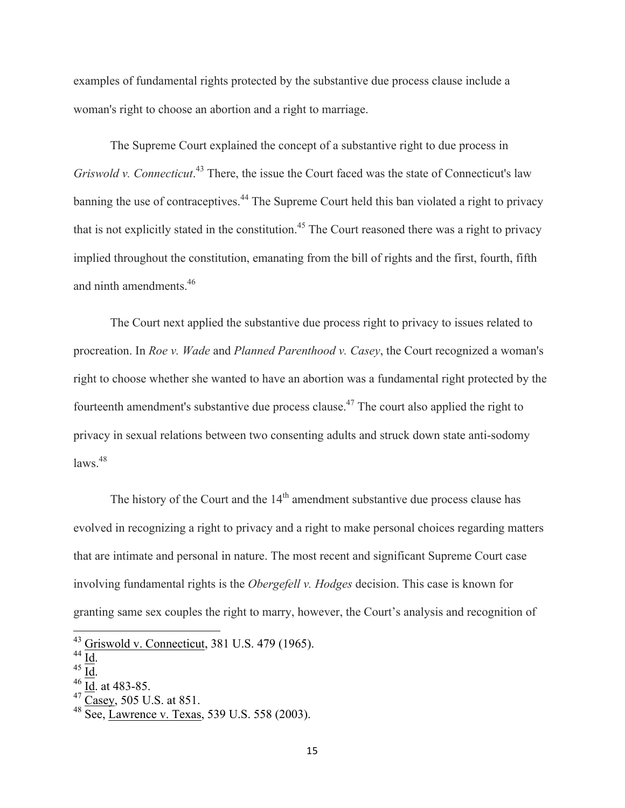examples of fundamental rights protected by the substantive due process clause include a woman's right to choose an abortion and a right to marriage.

The Supreme Court explained the concept of a substantive right to due process in *Griswold v. Connecticut*. <sup>43</sup> There, the issue the Court faced was the state of Connecticut's law banning the use of contraceptives.<sup>44</sup> The Supreme Court held this ban violated a right to privacy that is not explicitly stated in the constitution.<sup>45</sup> The Court reasoned there was a right to privacy implied throughout the constitution, emanating from the bill of rights and the first, fourth, fifth and ninth amendments.<sup>46</sup>

The Court next applied the substantive due process right to privacy to issues related to procreation. In *Roe v. Wade* and *Planned Parenthood v. Casey*, the Court recognized a woman's right to choose whether she wanted to have an abortion was a fundamental right protected by the fourteenth amendment's substantive due process clause.47 The court also applied the right to privacy in sexual relations between two consenting adults and struck down state anti-sodomy  $\frac{1}{2}$ laws<sup>48</sup>

The history of the Court and the  $14<sup>th</sup>$  amendment substantive due process clause has evolved in recognizing a right to privacy and a right to make personal choices regarding matters that are intimate and personal in nature. The most recent and significant Supreme Court case involving fundamental rights is the *Obergefell v. Hodges* decision. This case is known for granting same sex couples the right to marry, however, the Court's analysis and recognition of

<sup>&</sup>lt;sup>43</sup> Griswold v. Connecticut, 381 U.S. 479 (1965).<br>
<sup>44</sup> Id.<br>
<sup>45</sup> Id. at 483-85.<br>
<sup>47</sup> Casey, 505 U.S. at 851.<br>
<sup>48</sup> See, Lawrence v. Texas, 539 U.S. 558 (2003).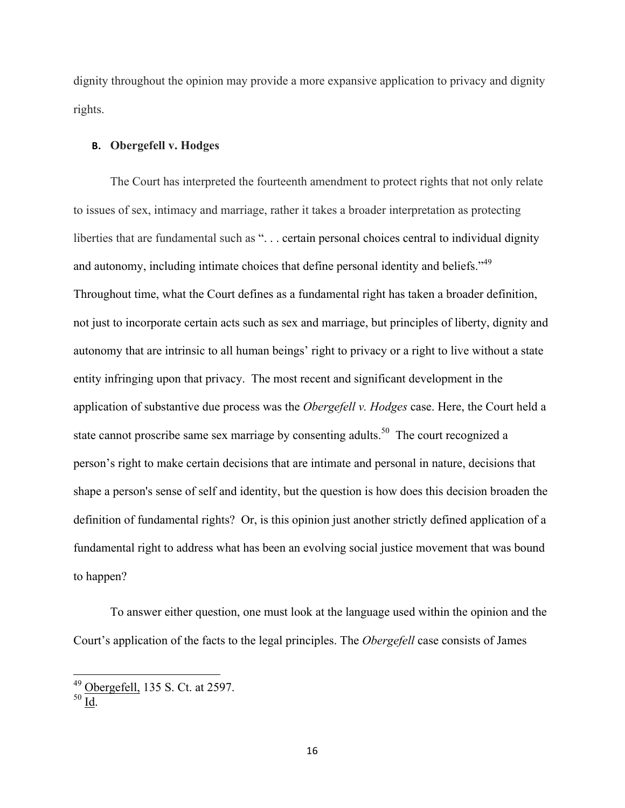dignity throughout the opinion may provide a more expansive application to privacy and dignity rights.

### **B. Obergefell v. Hodges**

The Court has interpreted the fourteenth amendment to protect rights that not only relate to issues of sex, intimacy and marriage, rather it takes a broader interpretation as protecting liberties that are fundamental such as "... certain personal choices central to individual dignity and autonomy, including intimate choices that define personal identity and beliefs."<sup>49</sup> Throughout time, what the Court defines as a fundamental right has taken a broader definition, not just to incorporate certain acts such as sex and marriage, but principles of liberty, dignity and autonomy that are intrinsic to all human beings' right to privacy or a right to live without a state entity infringing upon that privacy. The most recent and significant development in the application of substantive due process was the *Obergefell v. Hodges* case. Here, the Court held a state cannot proscribe same sex marriage by consenting adults.<sup>50</sup> The court recognized a person's right to make certain decisions that are intimate and personal in nature, decisions that shape a person's sense of self and identity, but the question is how does this decision broaden the definition of fundamental rights? Or, is this opinion just another strictly defined application of a fundamental right to address what has been an evolving social justice movement that was bound to happen?

To answer either question, one must look at the language used within the opinion and the Court's application of the facts to the legal principles. The *Obergefell* case consists of James

 $^{49}_{50}$  Obergefell, 135 S. Ct. at 2597.<br> $^{50}$  Id.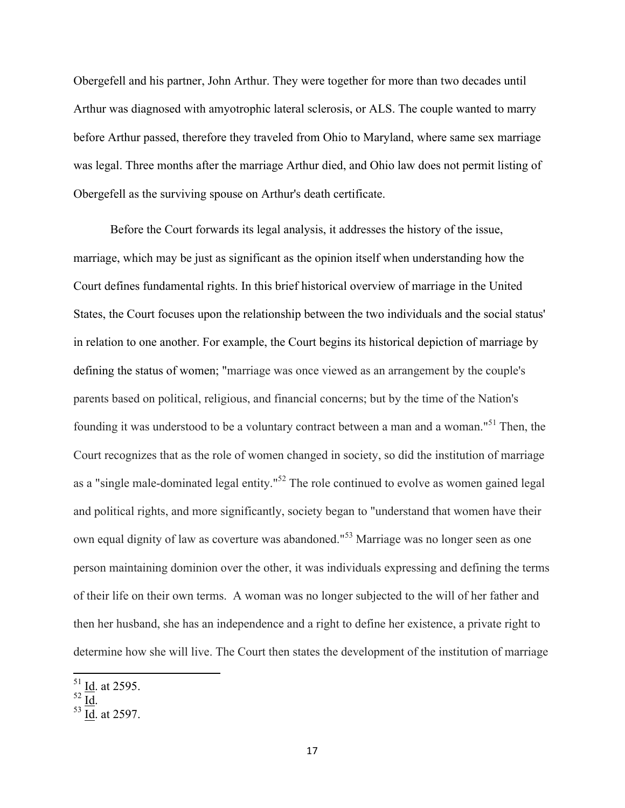Obergefell and his partner, John Arthur. They were together for more than two decades until Arthur was diagnosed with amyotrophic lateral sclerosis, or ALS. The couple wanted to marry before Arthur passed, therefore they traveled from Ohio to Maryland, where same sex marriage was legal. Three months after the marriage Arthur died, and Ohio law does not permit listing of Obergefell as the surviving spouse on Arthur's death certificate.

Before the Court forwards its legal analysis, it addresses the history of the issue, marriage, which may be just as significant as the opinion itself when understanding how the Court defines fundamental rights. In this brief historical overview of marriage in the United States, the Court focuses upon the relationship between the two individuals and the social status' in relation to one another. For example, the Court begins its historical depiction of marriage by defining the status of women; "marriage was once viewed as an arrangement by the couple's parents based on political, religious, and financial concerns; but by the time of the Nation's founding it was understood to be a voluntary contract between a man and a woman."<sup>51</sup> Then, the Court recognizes that as the role of women changed in society, so did the institution of marriage as a "single male-dominated legal entity."<sup>52</sup> The role continued to evolve as women gained legal and political rights, and more significantly, society began to "understand that women have their own equal dignity of law as coverture was abandoned."<sup>53</sup> Marriage was no longer seen as one person maintaining dominion over the other, it was individuals expressing and defining the terms of their life on their own terms. A woman was no longer subjected to the will of her father and then her husband, she has an independence and a right to define her existence, a private right to determine how she will live. The Court then states the development of the institution of marriage

 $rac{51}{52}$  <u>Id</u>. at 2595.<br> $rac{52}{10}$  Id. at 2597.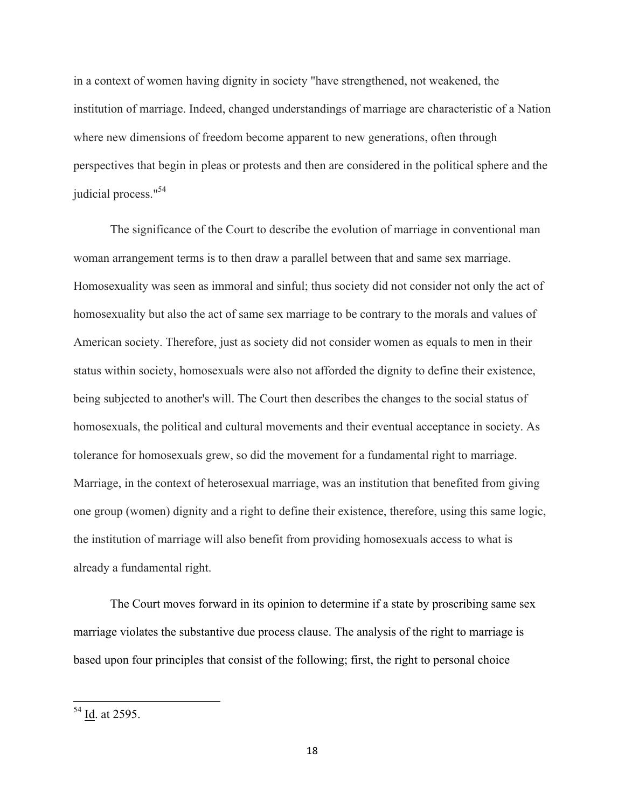in a context of women having dignity in society "have strengthened, not weakened, the institution of marriage. Indeed, changed understandings of marriage are characteristic of a Nation where new dimensions of freedom become apparent to new generations, often through perspectives that begin in pleas or protests and then are considered in the political sphere and the judicial process."<sup>54</sup>

The significance of the Court to describe the evolution of marriage in conventional man woman arrangement terms is to then draw a parallel between that and same sex marriage. Homosexuality was seen as immoral and sinful; thus society did not consider not only the act of homosexuality but also the act of same sex marriage to be contrary to the morals and values of American society. Therefore, just as society did not consider women as equals to men in their status within society, homosexuals were also not afforded the dignity to define their existence, being subjected to another's will. The Court then describes the changes to the social status of homosexuals, the political and cultural movements and their eventual acceptance in society. As tolerance for homosexuals grew, so did the movement for a fundamental right to marriage. Marriage, in the context of heterosexual marriage, was an institution that benefited from giving one group (women) dignity and a right to define their existence, therefore, using this same logic, the institution of marriage will also benefit from providing homosexuals access to what is already a fundamental right.

The Court moves forward in its opinion to determine if a state by proscribing same sex marriage violates the substantive due process clause. The analysis of the right to marriage is based upon four principles that consist of the following; first, the right to personal choice

 <sup>54</sup> Id. at 2595.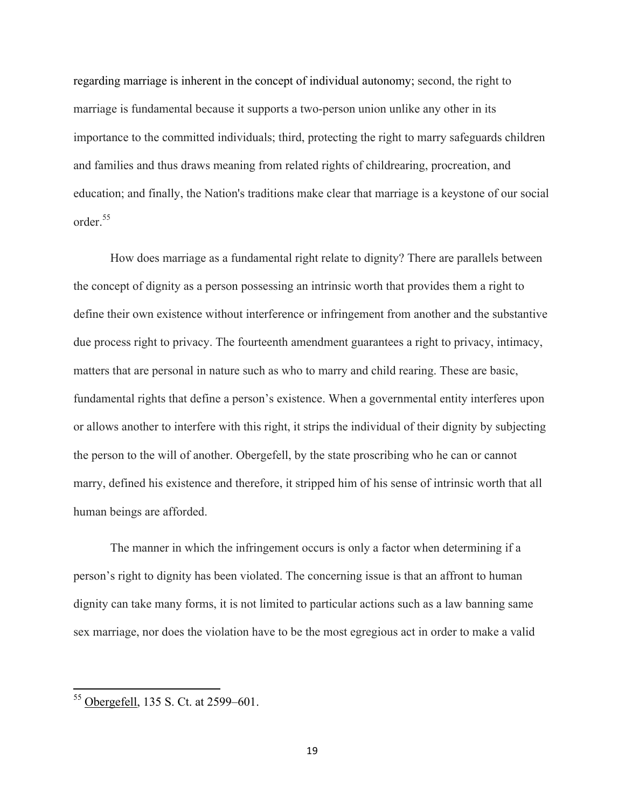regarding marriage is inherent in the concept of individual autonomy; second, the right to marriage is fundamental because it supports a two-person union unlike any other in its importance to the committed individuals; third, protecting the right to marry safeguards children and families and thus draws meaning from related rights of childrearing, procreation, and education; and finally, the Nation's traditions make clear that marriage is a keystone of our social order.<sup>55</sup>

How does marriage as a fundamental right relate to dignity? There are parallels between the concept of dignity as a person possessing an intrinsic worth that provides them a right to define their own existence without interference or infringement from another and the substantive due process right to privacy. The fourteenth amendment guarantees a right to privacy, intimacy, matters that are personal in nature such as who to marry and child rearing. These are basic, fundamental rights that define a person's existence. When a governmental entity interferes upon or allows another to interfere with this right, it strips the individual of their dignity by subjecting the person to the will of another. Obergefell, by the state proscribing who he can or cannot marry, defined his existence and therefore, it stripped him of his sense of intrinsic worth that all human beings are afforded.

The manner in which the infringement occurs is only a factor when determining if a person's right to dignity has been violated. The concerning issue is that an affront to human dignity can take many forms, it is not limited to particular actions such as a law banning same sex marriage, nor does the violation have to be the most egregious act in order to make a valid

 <sup>55</sup> Obergefell, 135 S. Ct. at 2599–601.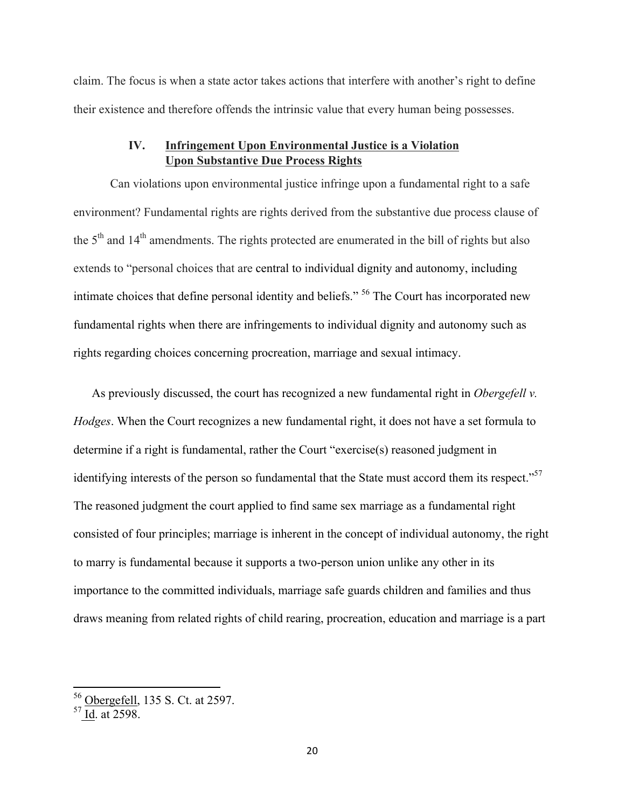claim. The focus is when a state actor takes actions that interfere with another's right to define their existence and therefore offends the intrinsic value that every human being possesses.

# **IV. Infringement Upon Environmental Justice is a Violation Upon Substantive Due Process Rights**

Can violations upon environmental justice infringe upon a fundamental right to a safe environment? Fundamental rights are rights derived from the substantive due process clause of the 5<sup>th</sup> and 14<sup>th</sup> amendments. The rights protected are enumerated in the bill of rights but also extends to "personal choices that are central to individual dignity and autonomy, including intimate choices that define personal identity and beliefs." 56 The Court has incorporated new fundamental rights when there are infringements to individual dignity and autonomy such as rights regarding choices concerning procreation, marriage and sexual intimacy.

As previously discussed, the court has recognized a new fundamental right in *Obergefell v. Hodges*. When the Court recognizes a new fundamental right, it does not have a set formula to determine if a right is fundamental, rather the Court "exercise(s) reasoned judgment in identifying interests of the person so fundamental that the State must accord them its respect."<sup>57</sup> The reasoned judgment the court applied to find same sex marriage as a fundamental right consisted of four principles; marriage is inherent in the concept of individual autonomy, the right to marry is fundamental because it supports a two-person union unlike any other in its importance to the committed individuals, marriage safe guards children and families and thus draws meaning from related rights of child rearing, procreation, education and marriage is a part

<sup>&</sup>lt;sup>56</sup> Obergefell, 135 S. Ct. at 2597.

 $57$  Id. at 2598.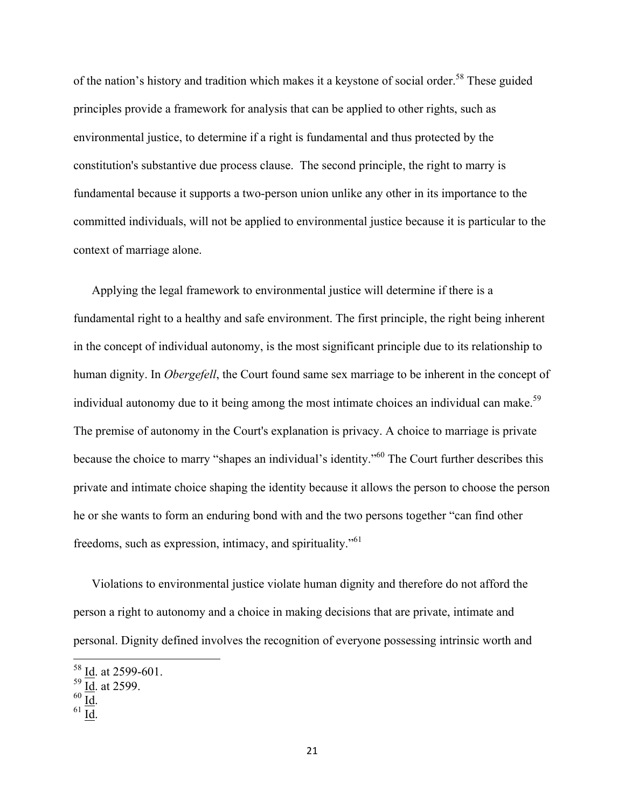of the nation's history and tradition which makes it a keystone of social order.<sup>58</sup> These guided principles provide a framework for analysis that can be applied to other rights, such as environmental justice, to determine if a right is fundamental and thus protected by the constitution's substantive due process clause. The second principle, the right to marry is fundamental because it supports a two-person union unlike any other in its importance to the committed individuals, will not be applied to environmental justice because it is particular to the context of marriage alone.

Applying the legal framework to environmental justice will determine if there is a fundamental right to a healthy and safe environment. The first principle, the right being inherent in the concept of individual autonomy, is the most significant principle due to its relationship to human dignity. In *Obergefell*, the Court found same sex marriage to be inherent in the concept of individual autonomy due to it being among the most intimate choices an individual can make.<sup>59</sup> The premise of autonomy in the Court's explanation is privacy. A choice to marriage is private because the choice to marry "shapes an individual's identity."60 The Court further describes this private and intimate choice shaping the identity because it allows the person to choose the person he or she wants to form an enduring bond with and the two persons together "can find other freedoms, such as expression, intimacy, and spirituality."61

Violations to environmental justice violate human dignity and therefore do not afford the person a right to autonomy and a choice in making decisions that are private, intimate and personal. Dignity defined involves the recognition of everyone possessing intrinsic worth and

<sup>&</sup>lt;sup>58</sup> Id. at 2599-601.

 $\frac{Id}{d}$ . at 2599.<br> $\frac{Id}{d}$ .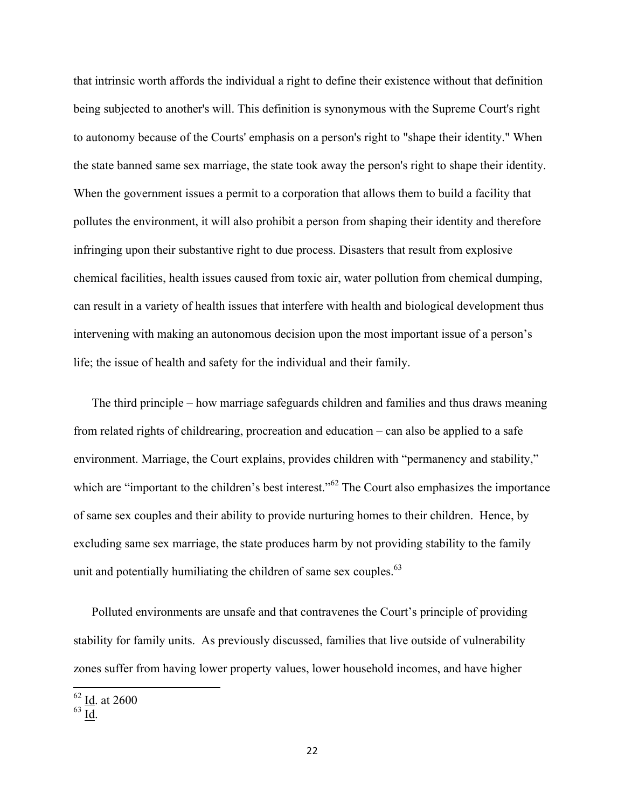that intrinsic worth affords the individual a right to define their existence without that definition being subjected to another's will. This definition is synonymous with the Supreme Court's right to autonomy because of the Courts' emphasis on a person's right to "shape their identity." When the state banned same sex marriage, the state took away the person's right to shape their identity. When the government issues a permit to a corporation that allows them to build a facility that pollutes the environment, it will also prohibit a person from shaping their identity and therefore infringing upon their substantive right to due process. Disasters that result from explosive chemical facilities, health issues caused from toxic air, water pollution from chemical dumping, can result in a variety of health issues that interfere with health and biological development thus intervening with making an autonomous decision upon the most important issue of a person's life; the issue of health and safety for the individual and their family.

The third principle – how marriage safeguards children and families and thus draws meaning from related rights of childrearing, procreation and education – can also be applied to a safe environment. Marriage, the Court explains, provides children with "permanency and stability," which are "important to the children's best interest."<sup>62</sup> The Court also emphasizes the importance of same sex couples and their ability to provide nurturing homes to their children. Hence, by excluding same sex marriage, the state produces harm by not providing stability to the family unit and potentially humiliating the children of same sex couples. $63$ 

Polluted environments are unsafe and that contravenes the Court's principle of providing stability for family units. As previously discussed, families that live outside of vulnerability zones suffer from having lower property values, lower household incomes, and have higher

 $\frac{62 \text{ Id. at } 2600}{\text{ Id. at } 2600}$ 

 $63 \overline{\mathrm{Id}}$ .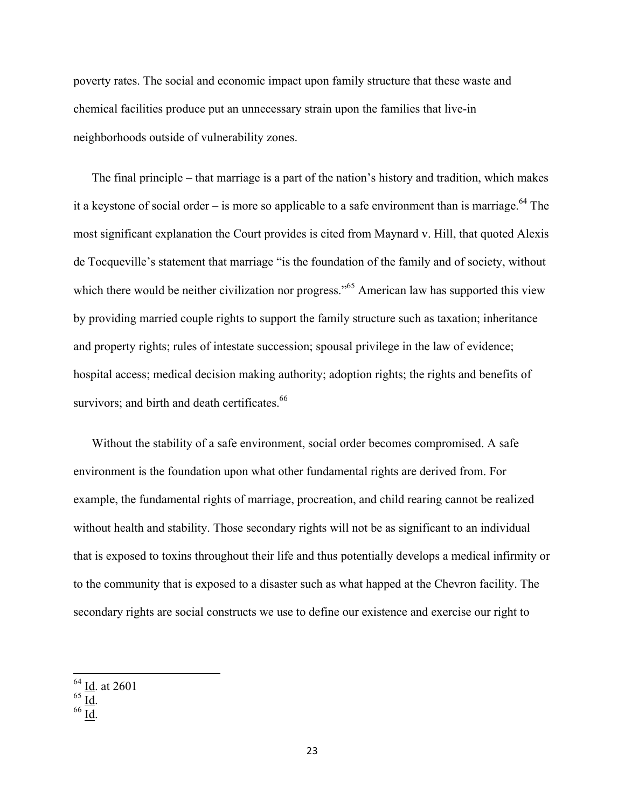poverty rates. The social and economic impact upon family structure that these waste and chemical facilities produce put an unnecessary strain upon the families that live-in neighborhoods outside of vulnerability zones.

The final principle – that marriage is a part of the nation's history and tradition, which makes it a keystone of social order – is more so applicable to a safe environment than is marriage.<sup>64</sup> The most significant explanation the Court provides is cited from Maynard v. Hill, that quoted Alexis de Tocqueville's statement that marriage "is the foundation of the family and of society, without which there would be neither civilization nor progress."<sup>65</sup> American law has supported this view by providing married couple rights to support the family structure such as taxation; inheritance and property rights; rules of intestate succession; spousal privilege in the law of evidence; hospital access; medical decision making authority; adoption rights; the rights and benefits of survivors; and birth and death certificates.<sup>66</sup>

Without the stability of a safe environment, social order becomes compromised. A safe environment is the foundation upon what other fundamental rights are derived from. For example, the fundamental rights of marriage, procreation, and child rearing cannot be realized without health and stability. Those secondary rights will not be as significant to an individual that is exposed to toxins throughout their life and thus potentially develops a medical infirmity or to the community that is exposed to a disaster such as what happed at the Chevron facility. The secondary rights are social constructs we use to define our existence and exercise our right to

 <sup>64</sup> Id. at 2601

 $\frac{65}{66} \frac{\underline{Id}}{\underline{Id}}.$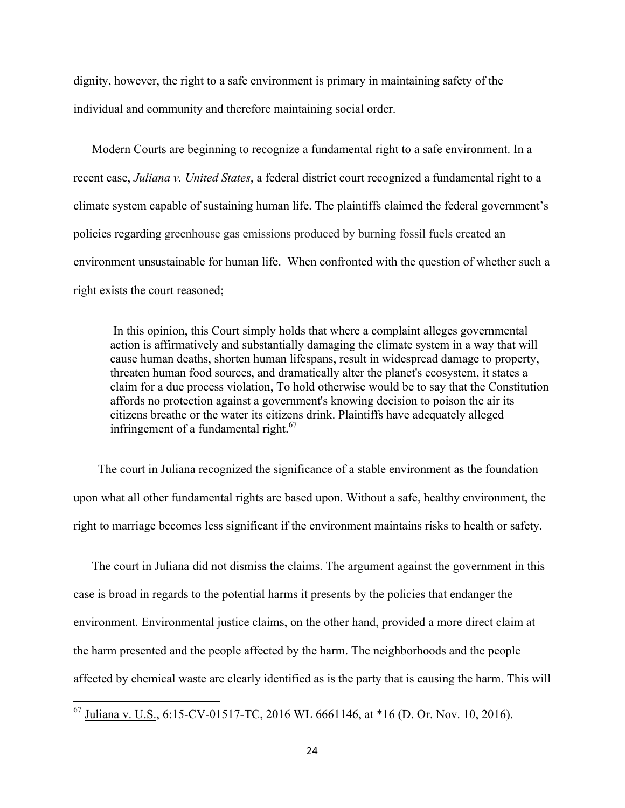dignity, however, the right to a safe environment is primary in maintaining safety of the individual and community and therefore maintaining social order.

Modern Courts are beginning to recognize a fundamental right to a safe environment. In a recent case, *Juliana v. United States*, a federal district court recognized a fundamental right to a climate system capable of sustaining human life. The plaintiffs claimed the federal government's policies regarding greenhouse gas emissions produced by burning fossil fuels created an environment unsustainable for human life. When confronted with the question of whether such a right exists the court reasoned;

In this opinion, this Court simply holds that where a complaint alleges governmental action is affirmatively and substantially damaging the climate system in a way that will cause human deaths, shorten human lifespans, result in widespread damage to property, threaten human food sources, and dramatically alter the planet's ecosystem, it states a claim for a due process violation, To hold otherwise would be to say that the Constitution affords no protection against a government's knowing decision to poison the air its citizens breathe or the water its citizens drink. Plaintiffs have adequately alleged infringement of a fundamental right. $67$ 

 The court in Juliana recognized the significance of a stable environment as the foundation upon what all other fundamental rights are based upon. Without a safe, healthy environment, the right to marriage becomes less significant if the environment maintains risks to health or safety.

The court in Juliana did not dismiss the claims. The argument against the government in this case is broad in regards to the potential harms it presents by the policies that endanger the environment. Environmental justice claims, on the other hand, provided a more direct claim at the harm presented and the people affected by the harm. The neighborhoods and the people affected by chemical waste are clearly identified as is the party that is causing the harm. This will

 <sup>67</sup> Juliana v. U.S., 6:15-CV-01517-TC, 2016 WL 6661146, at \*16 (D. Or. Nov. 10, 2016).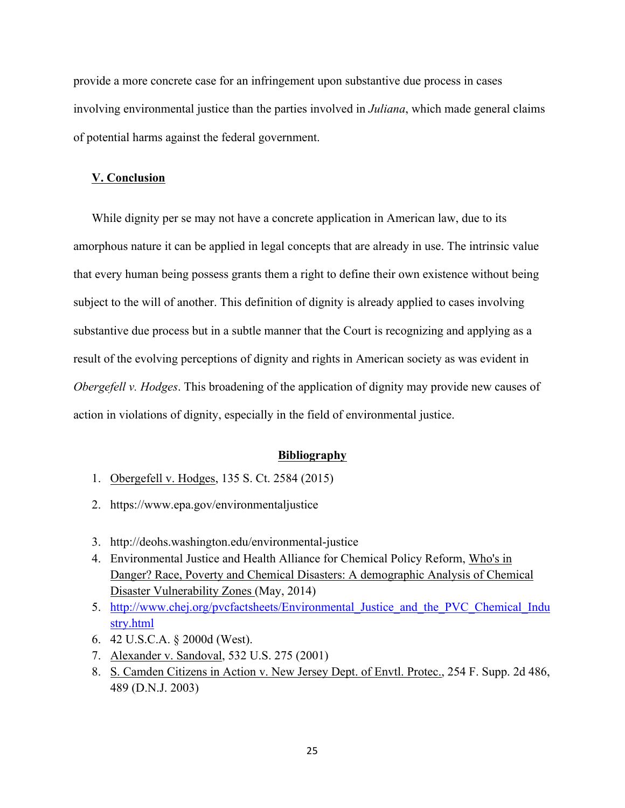provide a more concrete case for an infringement upon substantive due process in cases involving environmental justice than the parties involved in *Juliana*, which made general claims of potential harms against the federal government.

### **V. Conclusion**

While dignity per se may not have a concrete application in American law, due to its amorphous nature it can be applied in legal concepts that are already in use. The intrinsic value that every human being possess grants them a right to define their own existence without being subject to the will of another. This definition of dignity is already applied to cases involving substantive due process but in a subtle manner that the Court is recognizing and applying as a result of the evolving perceptions of dignity and rights in American society as was evident in *Obergefell v. Hodges*. This broadening of the application of dignity may provide new causes of action in violations of dignity, especially in the field of environmental justice.

#### **Bibliography**

- 1. Obergefell v. Hodges, 135 S. Ct. 2584 (2015)
- 2. https://www.epa.gov/environmentaljustice
- 3. http://deohs.washington.edu/environmental-justice
- 4. Environmental Justice and Health Alliance for Chemical Policy Reform, Who's in Danger? Race, Poverty and Chemical Disasters: A demographic Analysis of Chemical Disaster Vulnerability Zones (May, 2014)
- 5. http://www.chej.org/pvcfactsheets/Environmental Justice and the PVC Chemical Indu stry.html
- 6. 42 U.S.C.A. § 2000d (West).
- 7. Alexander v. Sandoval, 532 U.S. 275 (2001)
- 8. S. Camden Citizens in Action v. New Jersey Dept. of Envtl. Protec., 254 F. Supp. 2d 486, 489 (D.N.J. 2003)